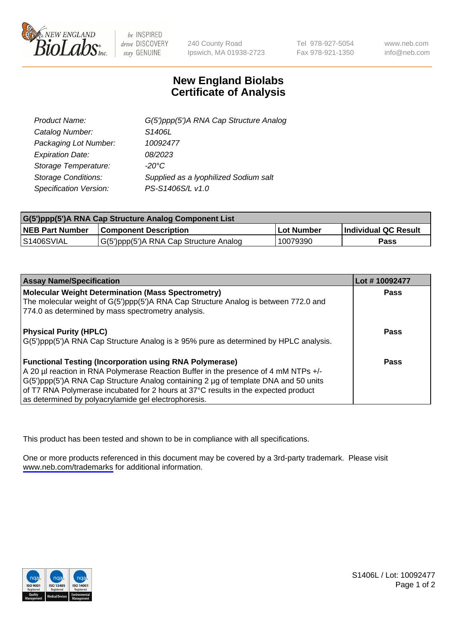

be INSPIRED drive DISCOVERY stay GENUINE

240 County Road Ipswich, MA 01938-2723 Tel 978-927-5054 Fax 978-921-1350

www.neb.com info@neb.com

## **New England Biolabs Certificate of Analysis**

| G(5')ppp(5')A RNA Cap Structure Analog |
|----------------------------------------|
| S1406L                                 |
| 10092477                               |
| 08/2023                                |
| $-20^{\circ}$ C                        |
| Supplied as a lyophilized Sodium salt  |
| PS-S1406S/L v1.0                       |
|                                        |

| G(5')ppp(5')A RNA Cap Structure Analog Component List |                                        |             |                             |  |
|-------------------------------------------------------|----------------------------------------|-------------|-----------------------------|--|
| <b>NEB Part Number</b>                                | <b>Component Description</b>           | ⊺Lot Number | <b>Individual QC Result</b> |  |
| <b>S1406SVIAL</b>                                     | G(5')ppp(5')A RNA Cap Structure Analog | 10079390    | Pass                        |  |

| <b>Assay Name/Specification</b>                                                                                                                                                                                                                                                                                                                                                            | Lot #10092477 |
|--------------------------------------------------------------------------------------------------------------------------------------------------------------------------------------------------------------------------------------------------------------------------------------------------------------------------------------------------------------------------------------------|---------------|
| <b>Molecular Weight Determination (Mass Spectrometry)</b><br>The molecular weight of G(5')ppp(5')A RNA Cap Structure Analog is between 772.0 and<br>774.0 as determined by mass spectrometry analysis.                                                                                                                                                                                     | <b>Pass</b>   |
| <b>Physical Purity (HPLC)</b><br>$\vert G(5)$ ppp(5')A RNA Cap Structure Analog is $\geq 95\%$ pure as determined by HPLC analysis.                                                                                                                                                                                                                                                        | Pass          |
| <b>Functional Testing (Incorporation using RNA Polymerase)</b><br>A 20 µl reaction in RNA Polymerase Reaction Buffer in the presence of 4 mM NTPs +/-<br>G(5')ppp(5')A RNA Cap Structure Analog containing 2 µg of template DNA and 50 units<br>of T7 RNA Polymerase incubated for 2 hours at 37°C results in the expected product<br>as determined by polyacrylamide gel electrophoresis. | Pass          |

This product has been tested and shown to be in compliance with all specifications.

One or more products referenced in this document may be covered by a 3rd-party trademark. Please visit <www.neb.com/trademarks>for additional information.